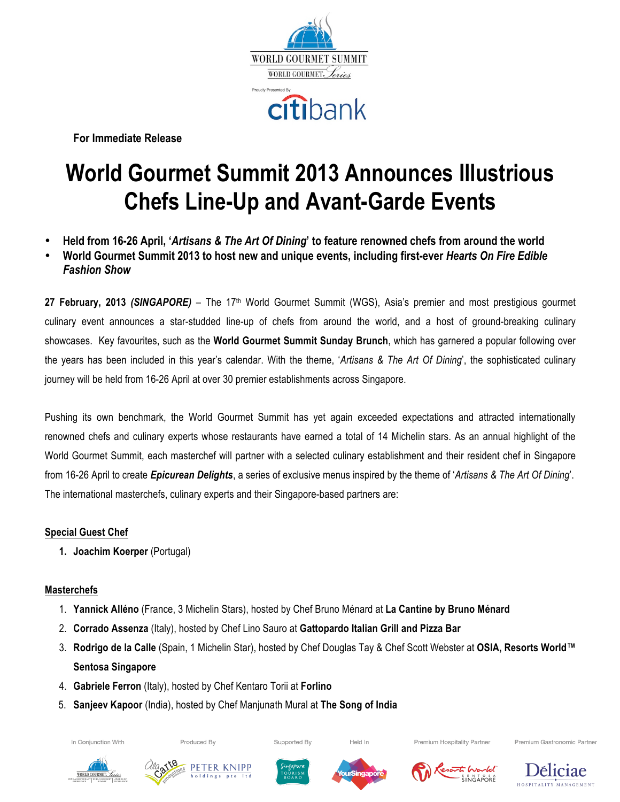

**For Immediate Release**

# **World Gourmet Summit 2013 Announces Illustrious Chefs Line-Up and Avant-Garde Events**

- **Held from 16-26 April, '***Artisans & The Art Of Dining***' to feature renowned chefs from around the world**
- **World Gourmet Summit 2013 to host new and unique events, including first-ever** *Hearts On Fire Edible Fashion Show*

**27 February, 2013** *(SINGAPORE)* – The 17th World Gourmet Summit (WGS), Asia's premier and most prestigious gourmet culinary event announces a star-studded line-up of chefs from around the world, and a host of ground-breaking culinary showcases. Key favourites, such as the **World Gourmet Summit Sunday Brunch**, which has garnered a popular following over the years has been included in this year's calendar. With the theme, '*Artisans & The Art Of Dining*', the sophisticated culinary journey will be held from 16-26 April at over 30 premier establishments across Singapore.

Pushing its own benchmark, the World Gourmet Summit has yet again exceeded expectations and attracted internationally renowned chefs and culinary experts whose restaurants have earned a total of 14 Michelin stars. As an annual highlight of the World Gourmet Summit, each masterchef will partner with a selected culinary establishment and their resident chef in Singapore from 16-26 April to create *Epicurean Delights*, a series of exclusive menus inspired by the theme of '*Artisans & The Art Of Dining*'. The international masterchefs, culinary experts and their Singapore-based partners are:

# **Special Guest Chef**

**1. Joachim Koerper** (Portugal)

# **Masterchefs**

- 1. **Yannick Alléno** (France, 3 Michelin Stars), hosted by Chef Bruno Ménard at **La Cantine by Bruno Ménard**
- 2. **Corrado Assenza** (Italy), hosted by Chef Lino Sauro at **Gattopardo Italian Grill and Pizza Bar**
- 3. **Rodrigo de la Calle** (Spain, 1 Michelin Star), hosted by Chef Douglas Tay & Chef Scott Webster at **OSIA, Resorts World™ Sentosa Singapore**
- 4. **Gabriele Ferron** (Italy), hosted by Chef Kentaro Torii at **Forlino**
- 5. **Sanjeev Kapoor** (India), hosted by Chef Manjunath Mural at **The Song of India**

In Conjunction With





Produced By



Supported By



Held In



Premium Hospitality Partner



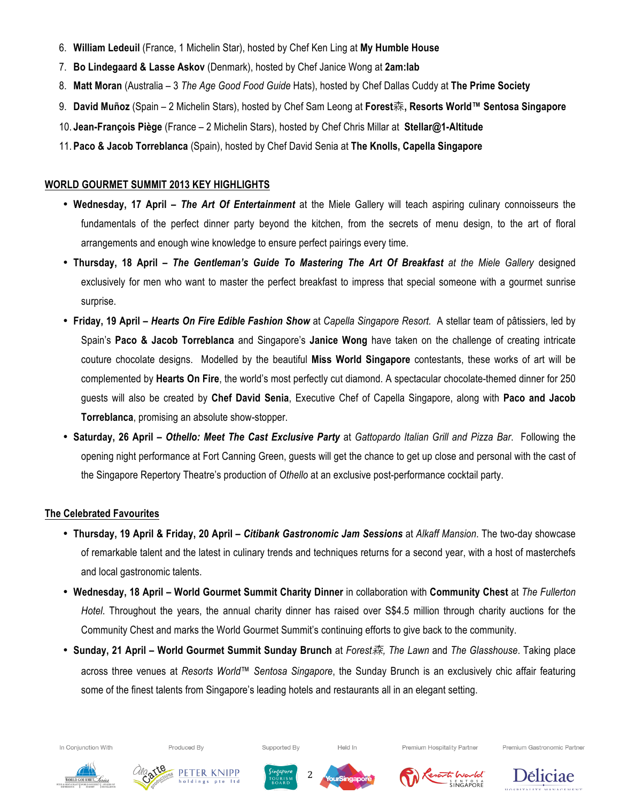- 6. **William Ledeuil** (France, 1 Michelin Star), hosted by Chef Ken Ling at **My Humble House**
- 7. **Bo Lindegaard & Lasse Askov** (Denmark), hosted by Chef Janice Wong at **2am:lab**
- 8. **Matt Moran** (Australia 3 *The Age Good Food Guide* Hats), hosted by Chef Dallas Cuddy at **The Prime Society**
- 9. **David Muñoz** (Spain 2 Michelin Stars), hosted by Chef Sam Leong at **Forest**森**, Resorts World™ Sentosa Singapore**
- 10. **Jean-François Piège** (France 2 Michelin Stars), hosted by Chef Chris Millar at **Stellar@1-Altitude**
- 11. **Paco & Jacob Torreblanca** (Spain), hosted by Chef David Senia at **The Knolls, Capella Singapore**

# **WORLD GOURMET SUMMIT 2013 KEY HIGHLIGHTS**

- **Wednesday, 17 April –** *The Art Of Entertainment* at the Miele Gallery will teach aspiring culinary connoisseurs the fundamentals of the perfect dinner party beyond the kitchen, from the secrets of menu design, to the art of floral arrangements and enough wine knowledge to ensure perfect pairings every time.
- **Thursday, 18 April –** *The Gentleman's Guide To Mastering The Art Of Breakfast at the Miele Gallery* designed exclusively for men who want to master the perfect breakfast to impress that special someone with a gourmet sunrise surprise.
- **Friday, 19 April –** *Hearts On Fire Edible Fashion Show* at *Capella Singapore Resort.* A stellar team of pâtissiers, led by Spain's **Paco & Jacob Torreblanca** and Singapore's **Janice Wong** have taken on the challenge of creating intricate couture chocolate designs. Modelled by the beautiful **Miss World Singapore** contestants, these works of art will be complemented by **Hearts On Fire**, the world's most perfectly cut diamond. A spectacular chocolate-themed dinner for 250 guests will also be created by **Chef David Senia**, Executive Chef of Capella Singapore, along with **Paco and Jacob Torreblanca**, promising an absolute show-stopper.
- **Saturday, 26 April –** *Othello: Meet The Cast Exclusive Party* at *Gattopardo Italian Grill and Pizza Bar*. Following the opening night performance at Fort Canning Green, guests will get the chance to get up close and personal with the cast of the Singapore Repertory Theatre's production of *Othello* at an exclusive post-performance cocktail party.

# **The Celebrated Favourites**

- **Thursday, 19 April & Friday, 20 April –** *Citibank Gastronomic Jam Sessions* at *Alkaff Mansion*. The two-day showcase of remarkable talent and the latest in culinary trends and techniques returns for a second year, with a host of masterchefs and local gastronomic talents.
- **Wednesday, 18 April – World Gourmet Summit Charity Dinner** in collaboration with **Community Chest** at *The Fullerton Hotel*. Throughout the years, the annual charity dinner has raised over S\$4.5 million through charity auctions for the Community Chest and marks the World Gourmet Summit's continuing efforts to give back to the community.
- **Sunday, 21 April – World Gourmet Summit Sunday Brunch** at *Forest*森*, The Lawn* and *The Glasshouse*. Taking place across three venues at *Resorts World™ Sentosa Singapore*, the Sunday Brunch is an exclusively chic affair featuring some of the finest talents from Singapore's leading hotels and restaurants all in an elegant setting.

2

In Conjunction With

Produced By







Supported By



Held In



Premium Hospitality Partner



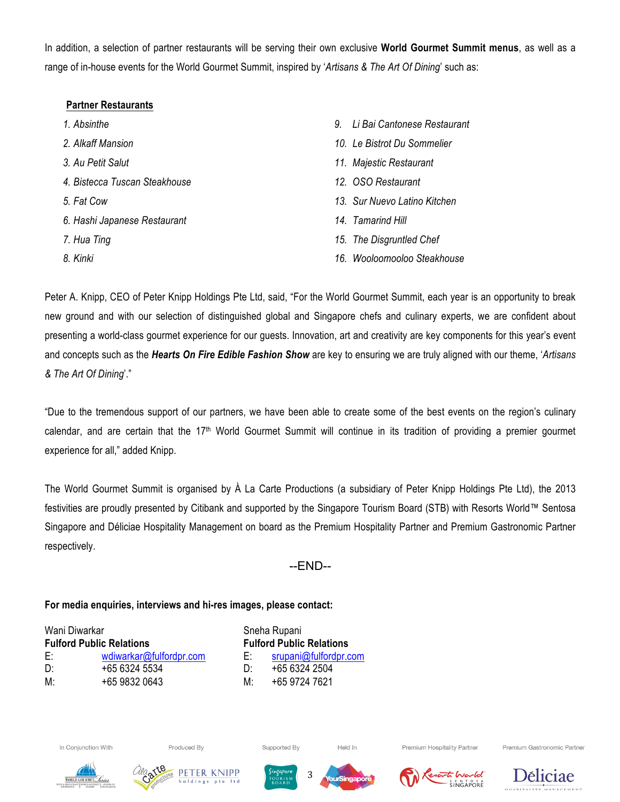In addition, a selection of partner restaurants will be serving their own exclusive **World Gourmet Summit menus**, as well as a range of in-house events for the World Gourmet Summit, inspired by '*Artisans & The Art Of Dining*' such as:

# **Partner Restaurants**

- *1. Absinthe*
- *2. Alkaff Mansion*
- *3. Au Petit Salut*
- *4. Bistecca Tuscan Steakhouse*
- *5. Fat Cow*
- *6. Hashi Japanese Restaurant*
- *7. Hua Ting*
- *8. Kinki*
- *9. Li Bai Cantonese Restaurant*
- *10. Le Bistrot Du Sommelier*
- *11. Majestic Restaurant*
- *12. OSO Restaurant*
- *13. Sur Nuevo Latino Kitchen*
- *14. Tamarind Hill*
- *15. The Disgruntled Chef*
- *16. Wooloomooloo Steakhouse*

Peter A. Knipp, CEO of Peter Knipp Holdings Pte Ltd, said, "For the World Gourmet Summit, each year is an opportunity to break new ground and with our selection of distinguished global and Singapore chefs and culinary experts, we are confident about presenting a world-class gourmet experience for our guests. Innovation, art and creativity are key components for this year's event and concepts such as the *Hearts On Fire Edible Fashion Show* are key to ensuring we are truly aligned with our theme, '*Artisans & The Art Of Dining*'."

"Due to the tremendous support of our partners, we have been able to create some of the best events on the region's culinary calendar, and are certain that the  $17<sup>th</sup>$  World Gourmet Summit will continue in its tradition of providing a premier gourmet experience for all," added Knipp.

The World Gourmet Summit is organised by À La Carte Productions (a subsidiary of Peter Knipp Holdings Pte Ltd), the 2013 festivities are proudly presented by Citibank and supported by the Singapore Tourism Board (STB) with Resorts World™ Sentosa Singapore and Déliciae Hospitality Management on board as the Premium Hospitality Partner and Premium Gastronomic Partner respectively.

--END--

# **For media enquiries, interviews and hi-res images, please contact:**

| Wani Diwarkar<br><b>Fulford Public Relations</b> |               |
|--------------------------------------------------|---------------|
|                                                  |               |
| D΄                                               | +65 6324 5534 |
| M:                                               | +65 9832 0643 |

Sneha Rupani **Fulford Public Relations Fulford Public Relations**  E: srupani@fulfordpr.com D:  $+6563242504$ M: +65 9724 7621



Produced By







Supported By



Held In



Premium Hospitality Partner

SENTOSA<br>SINGAPORÊ



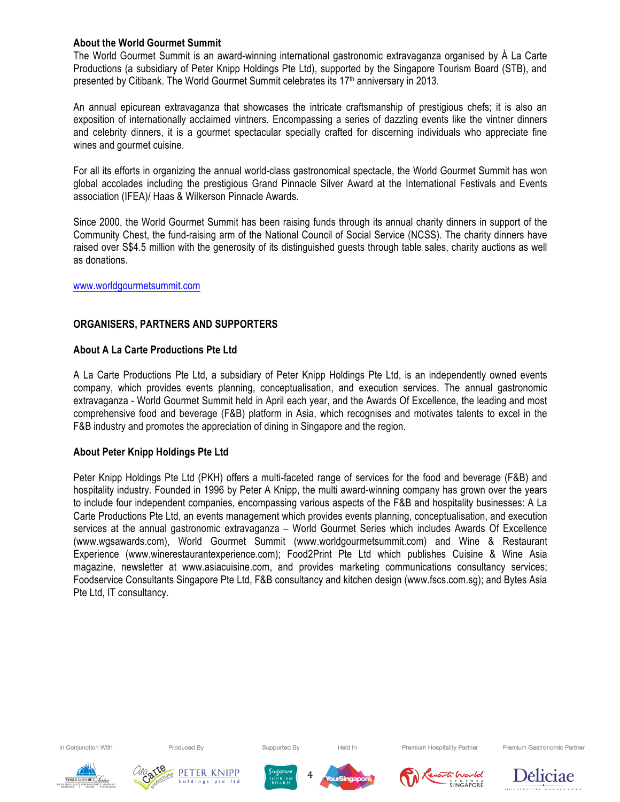# **About the World Gourmet Summit**

The World Gourmet Summit is an award-winning international gastronomic extravaganza organised by À La Carte Productions (a subsidiary of Peter Knipp Holdings Pte Ltd), supported by the Singapore Tourism Board (STB), and presented by Citibank. The World Gourmet Summit celebrates its 17<sup>th</sup> anniversary in 2013.

An annual epicurean extravaganza that showcases the intricate craftsmanship of prestigious chefs; it is also an exposition of internationally acclaimed vintners. Encompassing a series of dazzling events like the vintner dinners and celebrity dinners, it is a gourmet spectacular specially crafted for discerning individuals who appreciate fine wines and gourmet cuisine.

For all its efforts in organizing the annual world-class gastronomical spectacle, the World Gourmet Summit has won global accolades including the prestigious Grand Pinnacle Silver Award at the International Festivals and Events association (IFEA)/ Haas & Wilkerson Pinnacle Awards.

Since 2000, the World Gourmet Summit has been raising funds through its annual charity dinners in support of the Community Chest, the fund-raising arm of the National Council of Social Service (NCSS). The charity dinners have raised over S\$4.5 million with the generosity of its distinguished guests through table sales, charity auctions as well as donations.

#### www.worldgourmetsummit.com

# **ORGANISERS, PARTNERS AND SUPPORTERS**

#### **About A La Carte Productions Pte Ltd**

A La Carte Productions Pte Ltd, a subsidiary of Peter Knipp Holdings Pte Ltd, is an independently owned events company, which provides events planning, conceptualisation, and execution services. The annual gastronomic extravaganza - World Gourmet Summit held in April each year, and the Awards Of Excellence, the leading and most comprehensive food and beverage (F&B) platform in Asia, which recognises and motivates talents to excel in the F&B industry and promotes the appreciation of dining in Singapore and the region.

#### **About Peter Knipp Holdings Pte Ltd**

Peter Knipp Holdings Pte Ltd (PKH) offers a multi-faceted range of services for the food and beverage (F&B) and hospitality industry. Founded in 1996 by Peter A Knipp, the multi award-winning company has grown over the years to include four independent companies, encompassing various aspects of the F&B and hospitality businesses: A La Carte Productions Pte Ltd, an events management which provides events planning, conceptualisation, and execution services at the annual gastronomic extravaganza – World Gourmet Series which includes Awards Of Excellence (www.wgsawards.com), World Gourmet Summit (www.worldgourmetsummit.com) and Wine & Restaurant Experience (www.winerestaurantexperience.com); Food2Print Pte Ltd which publishes Cuisine & Wine Asia magazine, newsletter at www.asiacuisine.com, and provides marketing communications consultancy services; Foodservice Consultants Singapore Pte Ltd, F&B consultancy and kitchen design (www.fscs.com.sg); and Bytes Asia Pte Ltd, IT consultancy.

In Conjunction With

Produced By







Supported By



Held In

4



Premium Hospitality Partner



Premium Gastronomic Partner